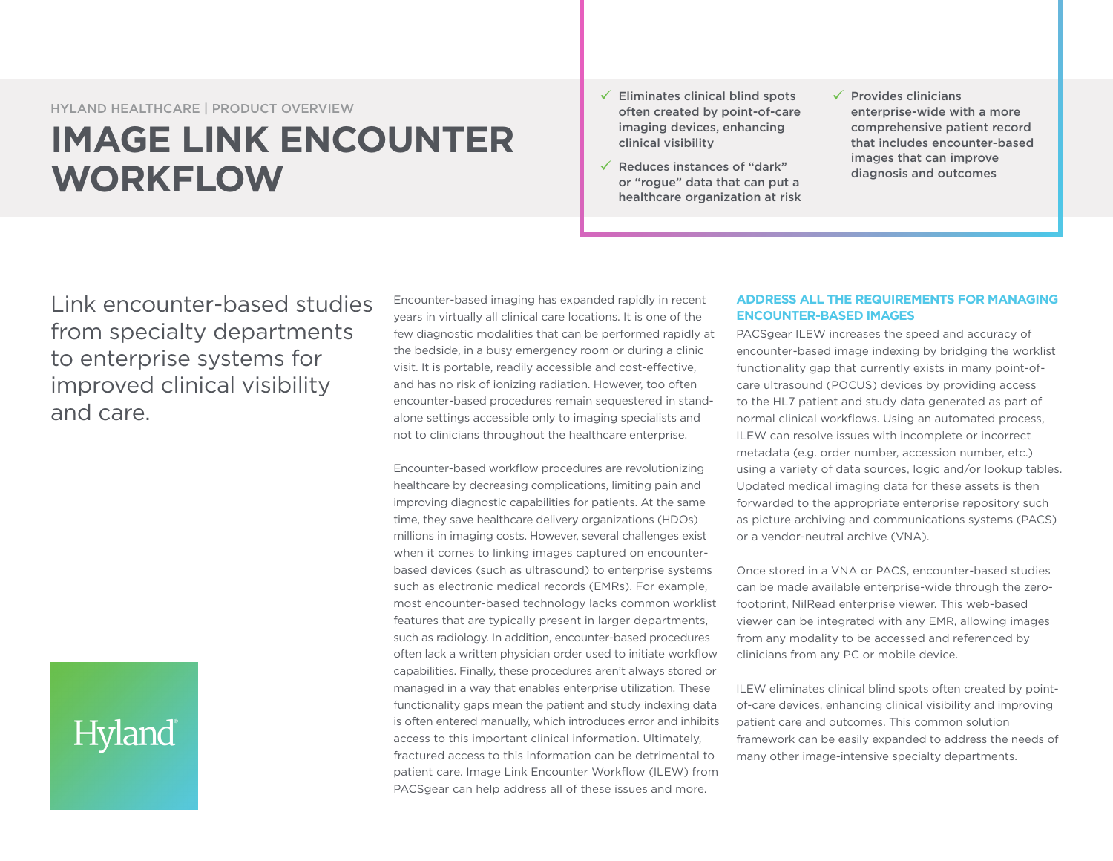HYLAND HEALTHCARE | PRODUCT OVERVIEW

# **IMAGE LINK ENCOUNTER WORKFLOW**

- $\checkmark$  Eliminates clinical blind spots often created by point-of-care imaging devices, enhancing clinical visibility
- $\sqrt{ }$  Reduces instances of "dark" or "rogue" data that can put a healthcare organization at risk
- $\sqrt{ }$  Provides clinicians enterprise-wide with a more comprehensive patient record that includes encounter-based images that can improve diagnosis and outcomes

Link encounter-based studies from specialty departments to enterprise systems for improved clinical visibility and care.

# Hyland

Encounter-based imaging has expanded rapidly in recent years in virtually all clinical care locations. It is one of the few diagnostic modalities that can be performed rapidly at the bedside, in a busy emergency room or during a clinic visit. It is portable, readily accessible and cost-effective, and has no risk of ionizing radiation. However, too often encounter-based procedures remain sequestered in standalone settings accessible only to imaging specialists and not to clinicians throughout the healthcare enterprise.

Encounter-based workflow procedures are revolutionizing healthcare by decreasing complications, limiting pain and improving diagnostic capabilities for patients. At the same time, they save healthcare delivery organizations (HDOs) millions in imaging costs. However, several challenges exist when it comes to linking images captured on encounterbased devices (such as ultrasound) to enterprise systems such as electronic medical records (EMRs). For example, most encounter-based technology lacks common worklist features that are typically present in larger departments, such as radiology. In addition, encounter-based procedures often lack a written physician order used to initiate workflow capabilities. Finally, these procedures aren't always stored or managed in a way that enables enterprise utilization. These functionality gaps mean the patient and study indexing data is often entered manually, which introduces error and inhibits access to this important clinical information. Ultimately, fractured access to this information can be detrimental to patient care. Image Link Encounter Workflow (ILEW) from PACSgear can help address all of these issues and more.

## **ADDRESS ALL THE REQUIREMENTS FOR MANAGING ENCOUNTER-BASED IMAGES**

PACSgear ILEW increases the speed and accuracy of encounter-based image indexing by bridging the worklist functionality gap that currently exists in many point-ofcare ultrasound (POCUS) devices by providing access to the HL7 patient and study data generated as part of normal clinical workflows. Using an automated process, ILEW can resolve issues with incomplete or incorrect metadata (e.g. order number, accession number, etc.) using a variety of data sources, logic and/or lookup tables. Updated medical imaging data for these assets is then forwarded to the appropriate enterprise repository such as picture archiving and communications systems (PACS) or a vendor-neutral archive (VNA).

Once stored in a VNA or PACS, encounter-based studies can be made available enterprise-wide through the zerofootprint, NilRead enterprise viewer. This web-based viewer can be integrated with any EMR, allowing images from any modality to be accessed and referenced by clinicians from any PC or mobile device.

ILEW eliminates clinical blind spots often created by pointof-care devices, enhancing clinical visibility and improving patient care and outcomes. This common solution framework can be easily expanded to address the needs of many other image-intensive specialty departments.